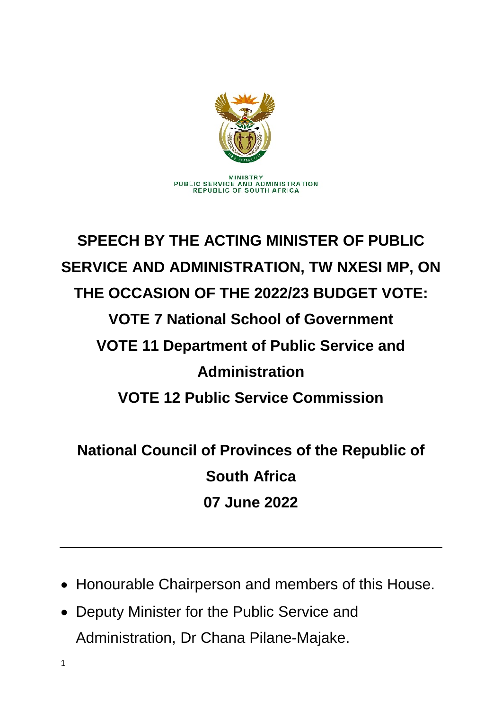

## **SPEECH BY THE ACTING MINISTER OF PUBLIC SERVICE AND ADMINISTRATION, TW NXESI MP, ON THE OCCASION OF THE 2022/23 BUDGET VOTE: VOTE 7 National School of Government VOTE 11 Department of Public Service and Administration VOTE 12 Public Service Commission**

**National Council of Provinces of the Republic of South Africa 07 June 2022**

- Honourable Chairperson and members of this House.
- Deputy Minister for the Public Service and Administration, Dr Chana Pilane-Majake.

1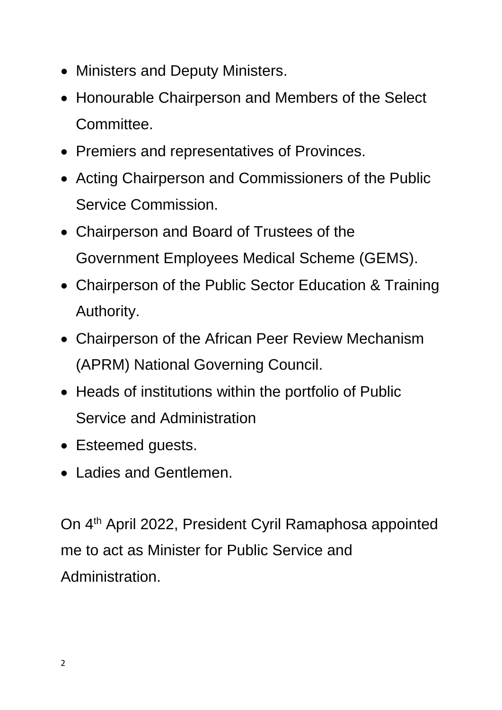- Ministers and Deputy Ministers.
- Honourable Chairperson and Members of the Select Committee.
- Premiers and representatives of Provinces.
- Acting Chairperson and Commissioners of the Public Service Commission.
- Chairperson and Board of Trustees of the Government Employees Medical Scheme (GEMS).
- Chairperson of the Public Sector Education & Training Authority.
- Chairperson of the African Peer Review Mechanism (APRM) National Governing Council.
- Heads of institutions within the portfolio of Public Service and Administration
- Esteemed guests.
- Ladies and Gentlemen.

On 4<sup>th</sup> April 2022, President Cyril Ramaphosa appointed me to act as Minister for Public Service and Administration.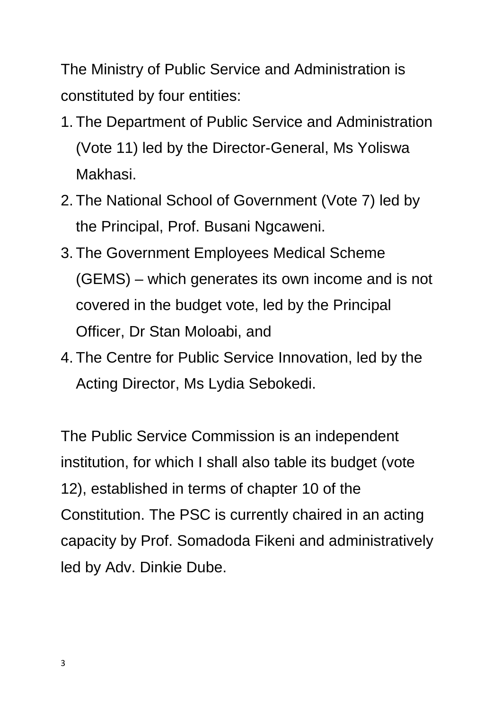The Ministry of Public Service and Administration is constituted by four entities:

- 1. The Department of Public Service and Administration (Vote 11) led by the Director-General, Ms Yoliswa Makhasi.
- 2. The National School of Government (Vote 7) led by the Principal, Prof. Busani Ngcaweni.
- 3. The Government Employees Medical Scheme (GEMS) – which generates its own income and is not covered in the budget vote, led by the Principal Officer, Dr Stan Moloabi, and
- 4. The Centre for Public Service Innovation, led by the Acting Director, Ms Lydia Sebokedi.

The Public Service Commission is an independent institution, for which I shall also table its budget (vote 12), established in terms of chapter 10 of the Constitution. The PSC is currently chaired in an acting capacity by Prof. Somadoda Fikeni and administratively led by Adv. Dinkie Dube.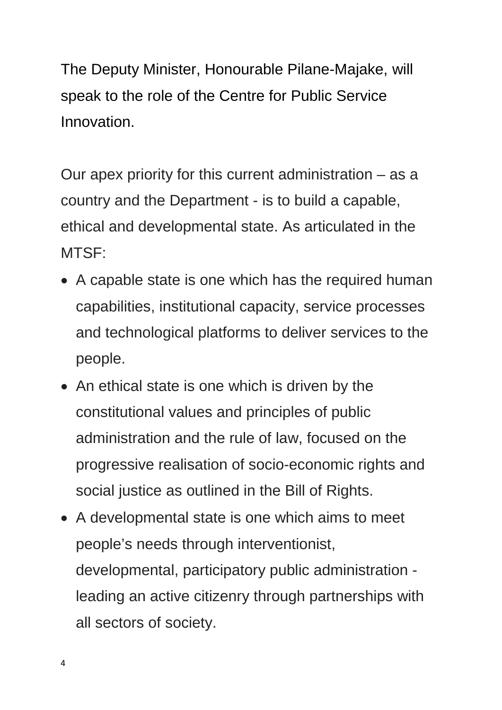The Deputy Minister, Honourable Pilane-Majake, will speak to the role of the Centre for Public Service Innovation.

Our apex priority for this current administration – as a country and the Department - is to build a capable, ethical and developmental state. As articulated in the MTSF:

- A capable state is one which has the required human capabilities, institutional capacity, service processes and technological platforms to deliver services to the people.
- An ethical state is one which is driven by the constitutional values and principles of public administration and the rule of law, focused on the progressive realisation of socio-economic rights and social justice as outlined in the Bill of Rights.
- A developmental state is one which aims to meet people's needs through interventionist, developmental, participatory public administration leading an active citizenry through partnerships with all sectors of society.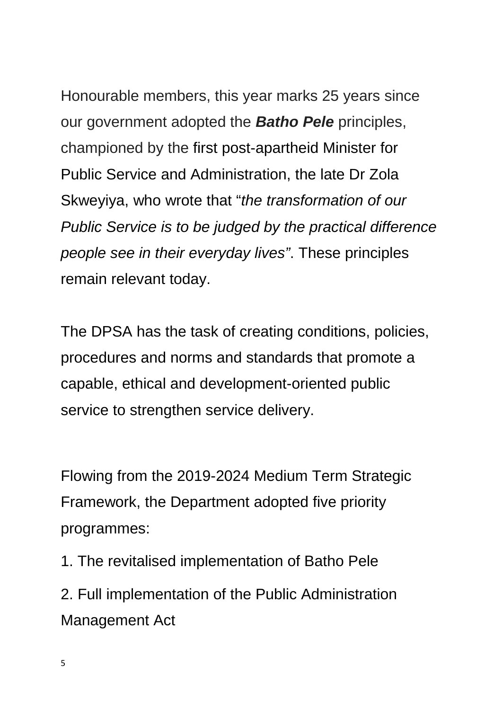Honourable members, this year marks 25 years since our government adopted the *Batho Pele* principles, championed by the first post-apartheid Minister for Public Service and Administration, the late Dr Zola Skweyiya, who wrote that "*the transformation of our Public Service is to be judged by the practical difference people see in their everyday lives"*. These principles remain relevant today.

The DPSA has the task of creating conditions, policies, procedures and norms and standards that promote a capable, ethical and development-oriented public service to strengthen service delivery.

Flowing from the 2019-2024 Medium Term Strategic Framework, the Department adopted five priority programmes:

1. The revitalised implementation of Batho Pele

2. Full implementation of the Public Administration Management Act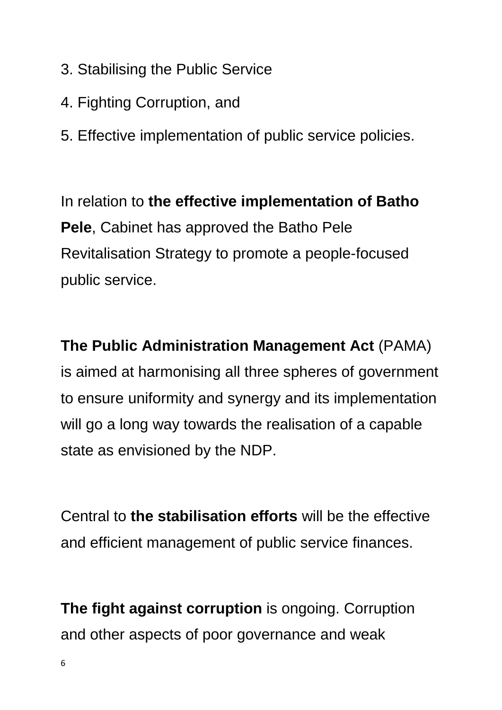- 3. Stabilising the Public Service
- 4. Fighting Corruption, and
- 5. Effective implementation of public service policies.

In relation to **the effective implementation of Batho Pele**, Cabinet has approved the Batho Pele Revitalisation Strategy to promote a people-focused public service.

**The Public Administration Management Act** (PAMA) is aimed at harmonising all three spheres of government to ensure uniformity and synergy and its implementation will go a long way towards the realisation of a capable state as envisioned by the NDP.

Central to **the stabilisation efforts** will be the effective and efficient management of public service finances.

**The fight against corruption** is ongoing. Corruption and other aspects of poor governance and weak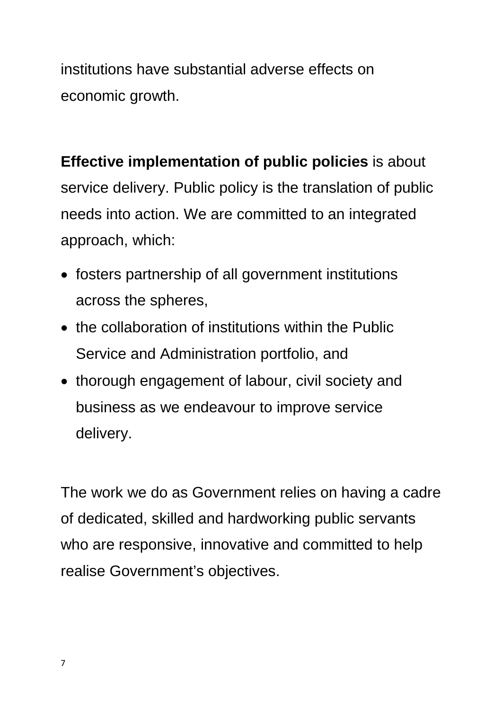institutions have substantial adverse effects on economic growth.

**Effective implementation of public policies** is about service delivery. Public policy is the translation of public needs into action. We are committed to an integrated approach, which:

- fosters partnership of all government institutions across the spheres,
- the collaboration of institutions within the Public Service and Administration portfolio, and
- thorough engagement of labour, civil society and business as we endeavour to improve service delivery.

The work we do as Government relies on having a cadre of dedicated, skilled and hardworking public servants who are responsive, innovative and committed to help realise Government's objectives.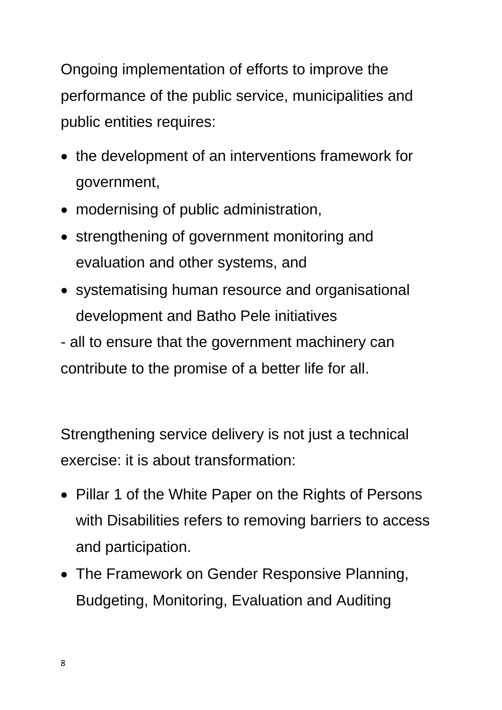Ongoing implementation of efforts to improve the performance of the public service, municipalities and public entities requires:

- the development of an interventions framework for government,
- modernising of public administration,
- strengthening of government monitoring and evaluation and other systems, and
- systematising human resource and organisational development and Batho Pele initiatives

- all to ensure that the government machinery can contribute to the promise of a better life for all.

Strengthening service delivery is not just a technical exercise: it is about transformation:

- Pillar 1 of the White Paper on the Rights of Persons with Disabilities refers to removing barriers to access and participation.
- The Framework on Gender Responsive Planning, Budgeting, Monitoring, Evaluation and Auditing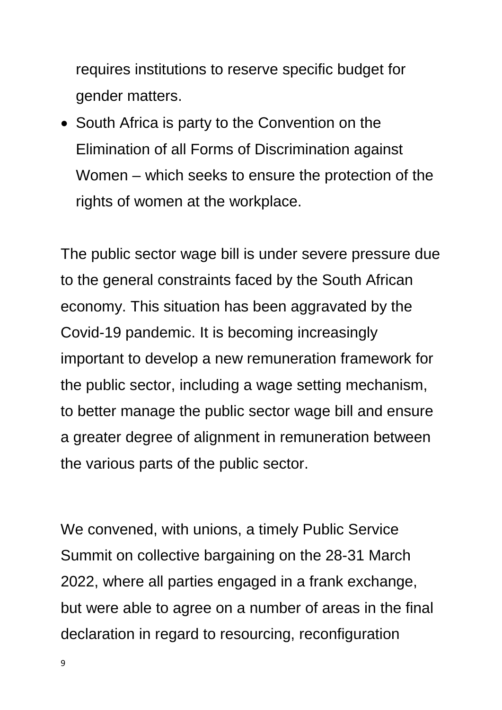requires institutions to reserve specific budget for gender matters.

• South Africa is party to the Convention on the Elimination of all Forms of Discrimination against Women – which seeks to ensure the protection of the rights of women at the workplace.

The public sector wage bill is under severe pressure due to the general constraints faced by the South African economy. This situation has been aggravated by the Covid-19 pandemic. It is becoming increasingly important to develop a new remuneration framework for the public sector, including a wage setting mechanism, to better manage the public sector wage bill and ensure a greater degree of alignment in remuneration between the various parts of the public sector.

We convened, with unions, a timely Public Service Summit on collective bargaining on the 28-31 March 2022, where all parties engaged in a frank exchange, but were able to agree on a number of areas in the final declaration in regard to resourcing, reconfiguration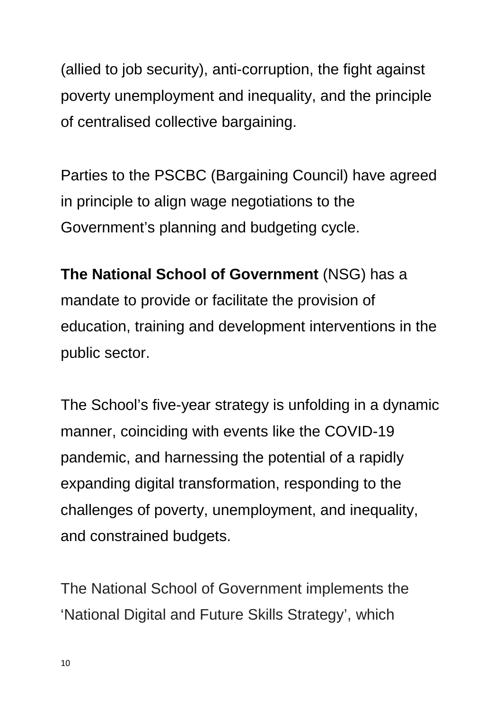(allied to job security), anti-corruption, the fight against poverty unemployment and inequality, and the principle of centralised collective bargaining.

Parties to the PSCBC (Bargaining Council) have agreed in principle to align wage negotiations to the Government's planning and budgeting cycle.

**The National School of Government** (NSG) has a mandate to provide or facilitate the provision of education, training and development interventions in the public sector.

The School's five-year strategy is unfolding in a dynamic manner, coinciding with events like the COVID-19 pandemic, and harnessing the potential of a rapidly expanding digital transformation, responding to the challenges of poverty, unemployment, and inequality, and constrained budgets.

The National School of Government implements the 'National Digital and Future Skills Strategy', which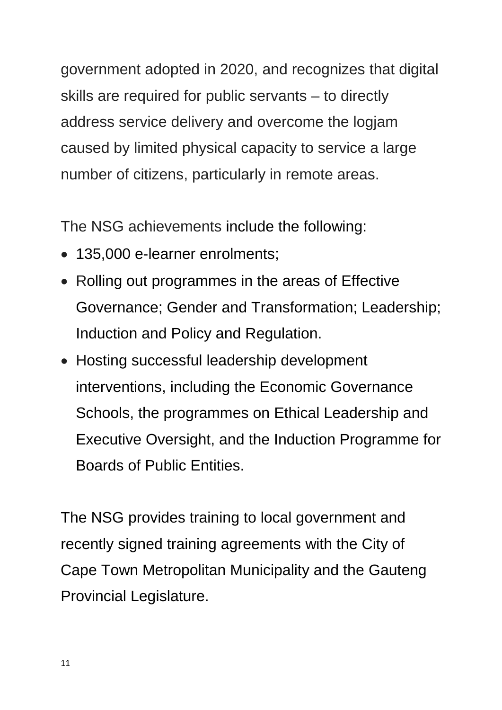government adopted in 2020, and recognizes that digital skills are required for public servants – to directly address service delivery and overcome the logjam caused by limited physical capacity to service a large number of citizens, particularly in remote areas.

The NSG achievements include the following:

- 135,000 e-learner enrolments;
- Rolling out programmes in the areas of Effective Governance; Gender and Transformation; Leadership; Induction and Policy and Regulation.
- Hosting successful leadership development interventions, including the Economic Governance Schools, the programmes on Ethical Leadership and Executive Oversight, and the Induction Programme for Boards of Public Entities.

The NSG provides training to local government and recently signed training agreements with the City of Cape Town Metropolitan Municipality and the Gauteng Provincial Legislature.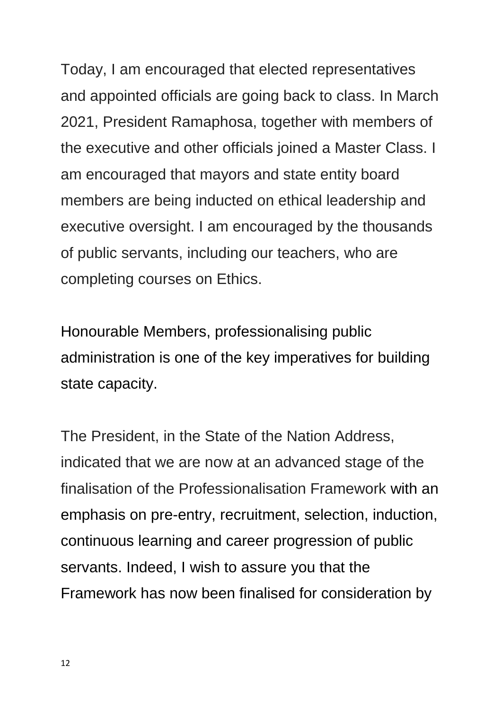Today, I am encouraged that elected representatives and appointed officials are going back to class. In March 2021, President Ramaphosa, together with members of the executive and other officials joined a Master Class. I am encouraged that mayors and state entity board members are being inducted on ethical leadership and executive oversight. I am encouraged by the thousands of public servants, including our teachers, who are completing courses on Ethics.

Honourable Members, professionalising public administration is one of the key imperatives for building state capacity.

The President, in the State of the Nation Address, indicated that we are now at an advanced stage of the finalisation of the Professionalisation Framework with an emphasis on pre-entry, recruitment, selection, induction, continuous learning and career progression of public servants. Indeed, I wish to assure you that the Framework has now been finalised for consideration by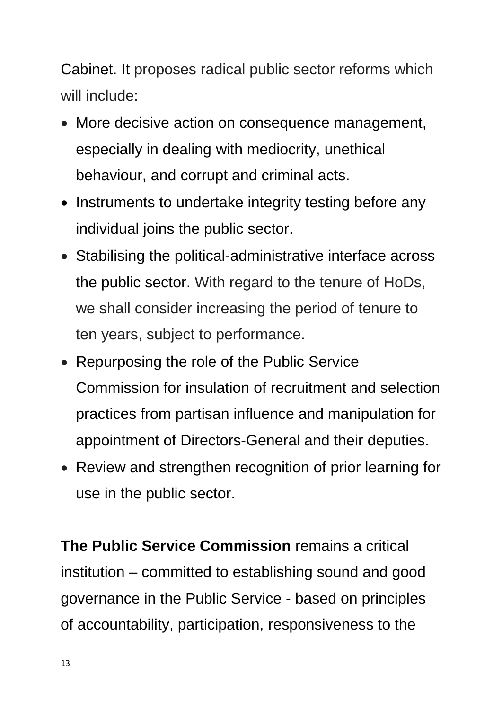Cabinet. It proposes radical public sector reforms which will include:

- More decisive action on consequence management, especially in dealing with mediocrity, unethical behaviour, and corrupt and criminal acts.
- Instruments to undertake integrity testing before any individual joins the public sector.
- Stabilising the political-administrative interface across the public sector. With regard to the tenure of HoDs, we shall consider increasing the period of tenure to ten years, subject to performance.
- Repurposing the role of the Public Service Commission for insulation of recruitment and selection practices from partisan influence and manipulation for appointment of Directors-General and their deputies.
- Review and strengthen recognition of prior learning for use in the public sector.

**The Public Service Commission** remains a critical institution – committed to establishing sound and good governance in the Public Service - based on principles of accountability, participation, responsiveness to the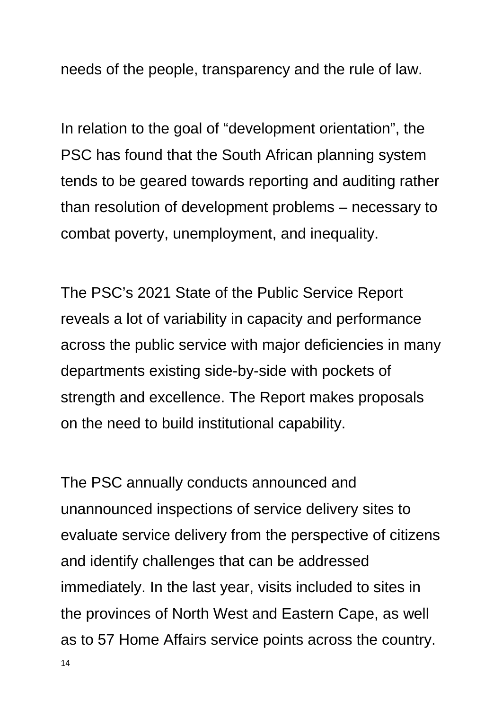needs of the people, transparency and the rule of law.

In relation to the goal of "development orientation", the PSC has found that the South African planning system tends to be geared towards reporting and auditing rather than resolution of development problems – necessary to combat poverty, unemployment, and inequality.

The PSC's 2021 State of the Public Service Report reveals a lot of variability in capacity and performance across the public service with major deficiencies in many departments existing side-by-side with pockets of strength and excellence. The Report makes proposals on the need to build institutional capability.

The PSC annually conducts announced and unannounced inspections of service delivery sites to evaluate service delivery from the perspective of citizens and identify challenges that can be addressed immediately. In the last year, visits included to sites in the provinces of North West and Eastern Cape, as well as to 57 Home Affairs service points across the country.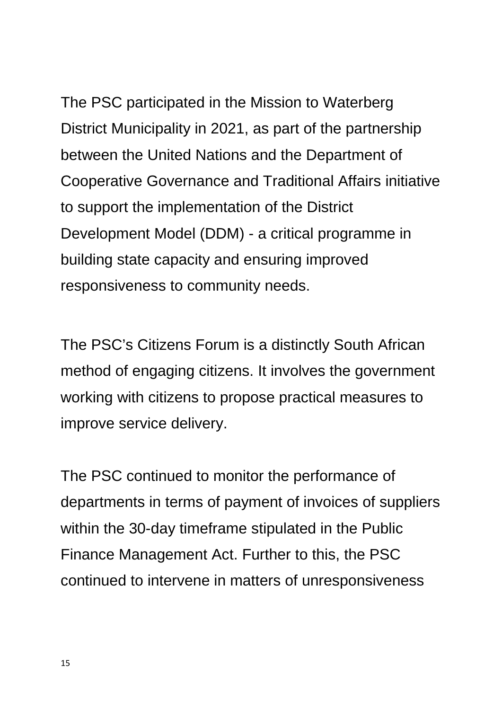The PSC participated in the Mission to Waterberg District Municipality in 2021, as part of the partnership between the United Nations and the Department of Cooperative Governance and Traditional Affairs initiative to support the implementation of the District Development Model (DDM) - a critical programme in building state capacity and ensuring improved responsiveness to community needs.

The PSC's Citizens Forum is a distinctly South African method of engaging citizens. It involves the government working with citizens to propose practical measures to improve service delivery.

The PSC continued to monitor the performance of departments in terms of payment of invoices of suppliers within the 30-day timeframe stipulated in the Public Finance Management Act. Further to this, the PSC continued to intervene in matters of unresponsiveness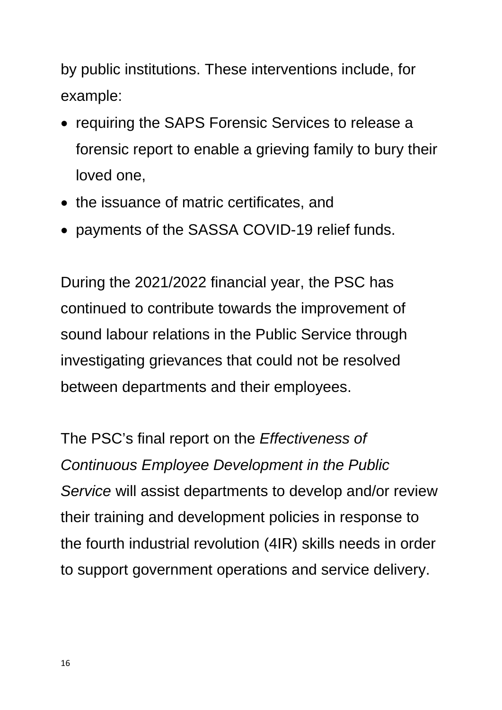by public institutions. These interventions include, for example:

- requiring the SAPS Forensic Services to release a forensic report to enable a grieving family to bury their loved one,
- the issuance of matric certificates, and
- payments of the SASSA COVID-19 relief funds.

During the 2021/2022 financial year, the PSC has continued to contribute towards the improvement of sound labour relations in the Public Service through investigating grievances that could not be resolved between departments and their employees.

The PSC's final report on the *Effectiveness of Continuous Employee Development in the Public Service* will assist departments to develop and/or review their training and development policies in response to the fourth industrial revolution (4IR) skills needs in order to support government operations and service delivery.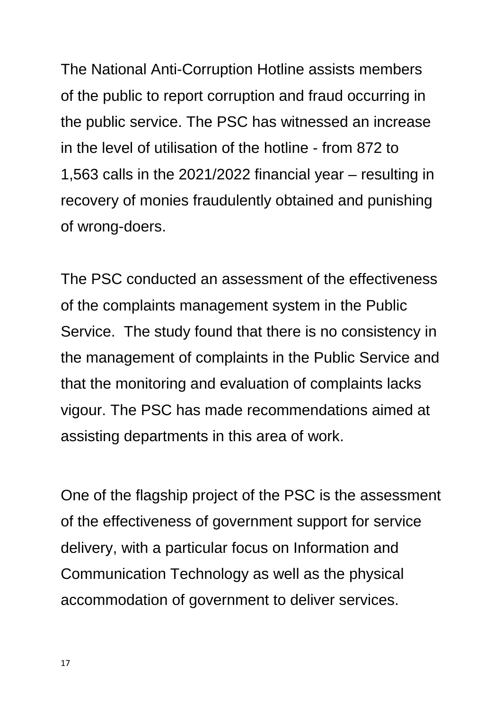The National Anti-Corruption Hotline assists members of the public to report corruption and fraud occurring in the public service. The PSC has witnessed an increase in the level of utilisation of the hotline - from 872 to 1,563 calls in the 2021/2022 financial year – resulting in recovery of monies fraudulently obtained and punishing of wrong-doers.

The PSC conducted an assessment of the effectiveness of the complaints management system in the Public Service. The study found that there is no consistency in the management of complaints in the Public Service and that the monitoring and evaluation of complaints lacks vigour. The PSC has made recommendations aimed at assisting departments in this area of work.

One of the flagship project of the PSC is the assessment of the effectiveness of government support for service delivery, with a particular focus on Information and Communication Technology as well as the physical accommodation of government to deliver services.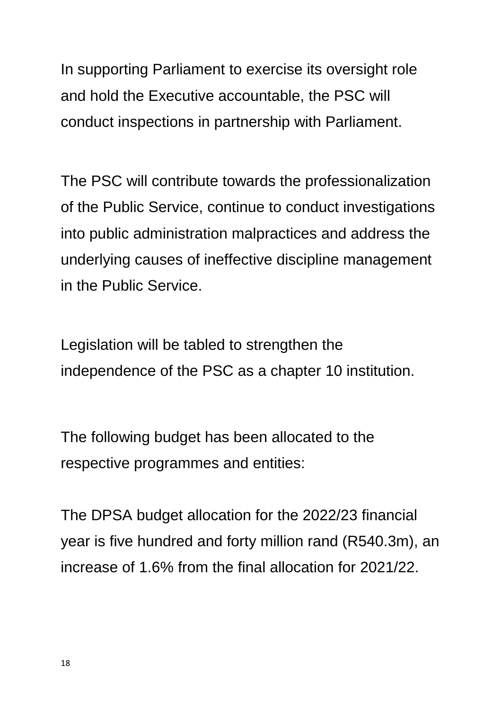In supporting Parliament to exercise its oversight role and hold the Executive accountable, the PSC will conduct inspections in partnership with Parliament.

The PSC will contribute towards the professionalization of the Public Service, continue to conduct investigations into public administration malpractices and address the underlying causes of ineffective discipline management in the Public Service.

Legislation will be tabled to strengthen the independence of the PSC as a chapter 10 institution.

The following budget has been allocated to the respective programmes and entities:

The DPSA budget allocation for the 2022/23 financial year is five hundred and forty million rand (R540.3m), an increase of 1.6% from the final allocation for 2021/22.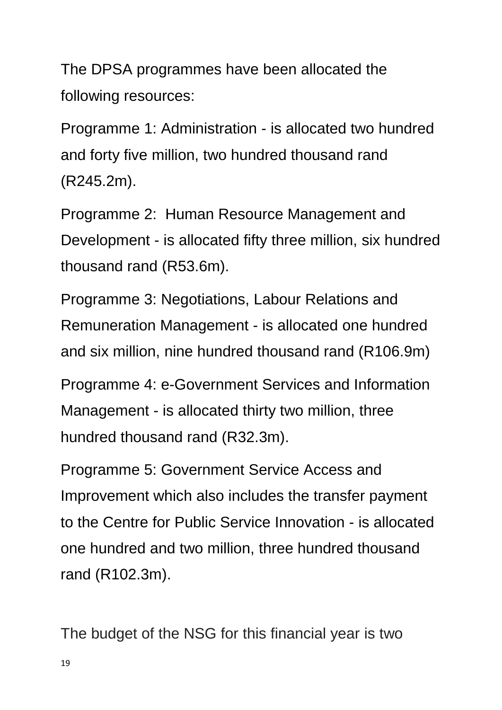The DPSA programmes have been allocated the following resources:

Programme 1: Administration - is allocated two hundred and forty five million, two hundred thousand rand (R245.2m).

Programme 2: Human Resource Management and Development - is allocated fifty three million, six hundred thousand rand (R53.6m).

Programme 3: Negotiations, Labour Relations and Remuneration Management - is allocated one hundred and six million, nine hundred thousand rand (R106.9m)

Programme 4: e-Government Services and Information Management - is allocated thirty two million, three hundred thousand rand (R32.3m).

Programme 5: Government Service Access and Improvement which also includes the transfer payment to the Centre for Public Service Innovation - is allocated one hundred and two million, three hundred thousand rand (R102.3m).

The budget of the NSG for this financial year is two